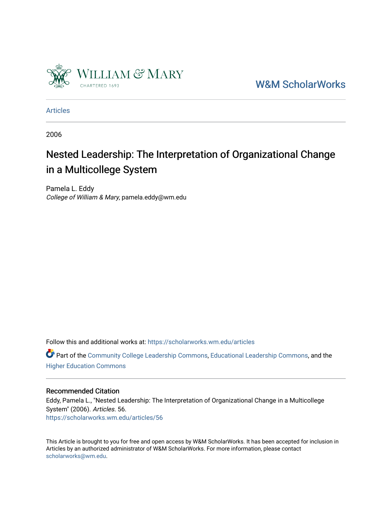

[W&M ScholarWorks](https://scholarworks.wm.edu/) 

[Articles](https://scholarworks.wm.edu/articles)

2006

# Nested Leadership: The Interpretation of Organizational Change in a Multicollege System

Pamela L. Eddy College of William & Mary, pamela.eddy@wm.edu

Follow this and additional works at: [https://scholarworks.wm.edu/articles](https://scholarworks.wm.edu/articles?utm_source=scholarworks.wm.edu%2Farticles%2F56&utm_medium=PDF&utm_campaign=PDFCoverPages) 

Part of the [Community College Leadership Commons](http://network.bepress.com/hgg/discipline/1039?utm_source=scholarworks.wm.edu%2Farticles%2F56&utm_medium=PDF&utm_campaign=PDFCoverPages), [Educational Leadership Commons](http://network.bepress.com/hgg/discipline/1230?utm_source=scholarworks.wm.edu%2Farticles%2F56&utm_medium=PDF&utm_campaign=PDFCoverPages), and the [Higher Education Commons](http://network.bepress.com/hgg/discipline/1245?utm_source=scholarworks.wm.edu%2Farticles%2F56&utm_medium=PDF&utm_campaign=PDFCoverPages) 

#### Recommended Citation

Eddy, Pamela L., "Nested Leadership: The Interpretation of Organizational Change in a Multicollege System" (2006). Articles. 56. [https://scholarworks.wm.edu/articles/56](https://scholarworks.wm.edu/articles/56?utm_source=scholarworks.wm.edu%2Farticles%2F56&utm_medium=PDF&utm_campaign=PDFCoverPages)

This Article is brought to you for free and open access by W&M ScholarWorks. It has been accepted for inclusion in Articles by an authorized administrator of W&M ScholarWorks. For more information, please contact [scholarworks@wm.edu.](mailto:scholarworks@wm.edu)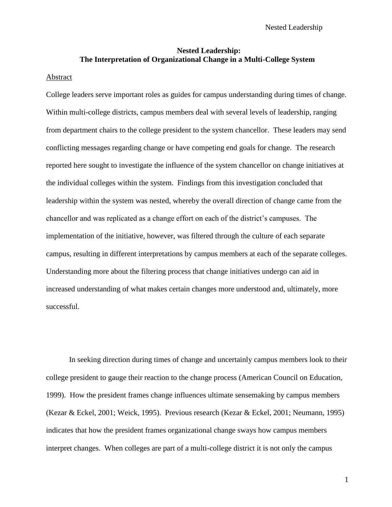# **Nested Leadership: The Interpretation of Organizational Change in a Multi-College System**

#### Abstract

College leaders serve important roles as guides for campus understanding during times of change. Within multi-college districts, campus members deal with several levels of leadership, ranging from department chairs to the college president to the system chancellor. These leaders may send conflicting messages regarding change or have competing end goals for change. The research reported here sought to investigate the influence of the system chancellor on change initiatives at the individual colleges within the system. Findings from this investigation concluded that leadership within the system was nested, whereby the overall direction of change came from the chancellor and was replicated as a change effort on each of the district's campuses. The implementation of the initiative, however, was filtered through the culture of each separate campus, resulting in different interpretations by campus members at each of the separate colleges. Understanding more about the filtering process that change initiatives undergo can aid in increased understanding of what makes certain changes more understood and, ultimately, more successful.

In seeking direction during times of change and uncertainly campus members look to their college president to gauge their reaction to the change process (American Council on Education, 1999). How the president frames change influences ultimate sensemaking by campus members (Kezar & Eckel, 2001; Weick, 1995). Previous research (Kezar & Eckel, 2001; Neumann, 1995) indicates that how the president frames organizational change sways how campus members interpret changes. When colleges are part of a multi-college district it is not only the campus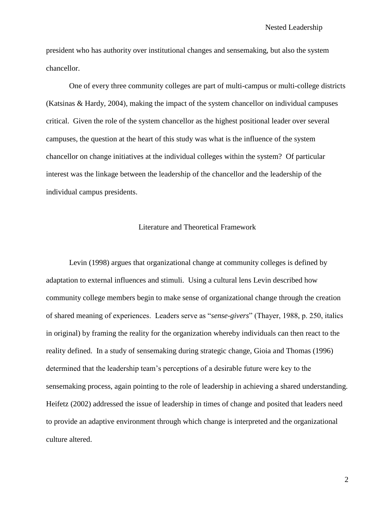president who has authority over institutional changes and sensemaking, but also the system chancellor.

One of every three community colleges are part of multi-campus or multi-college districts (Katsinas & Hardy, 2004), making the impact of the system chancellor on individual campuses critical. Given the role of the system chancellor as the highest positional leader over several campuses, the question at the heart of this study was what is the influence of the system chancellor on change initiatives at the individual colleges within the system? Of particular interest was the linkage between the leadership of the chancellor and the leadership of the individual campus presidents.

#### Literature and Theoretical Framework

Levin (1998) argues that organizational change at community colleges is defined by adaptation to external influences and stimuli. Using a cultural lens Levin described how community college members begin to make sense of organizational change through the creation of shared meaning of experiences. Leaders serve as "*sense-givers*" (Thayer, 1988, p. 250, italics in original) by framing the reality for the organization whereby individuals can then react to the reality defined. In a study of sensemaking during strategic change, Gioia and Thomas (1996) determined that the leadership team's perceptions of a desirable future were key to the sensemaking process, again pointing to the role of leadership in achieving a shared understanding. Heifetz (2002) addressed the issue of leadership in times of change and posited that leaders need to provide an adaptive environment through which change is interpreted and the organizational culture altered.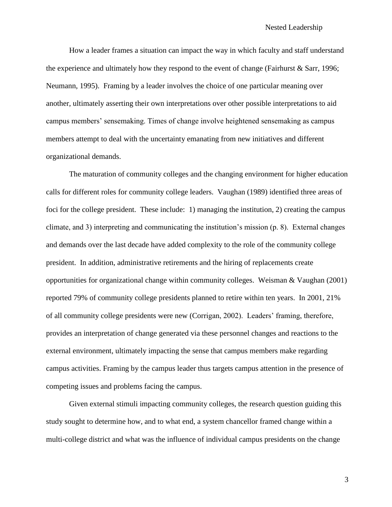How a leader frames a situation can impact the way in which faculty and staff understand the experience and ultimately how they respond to the event of change (Fairhurst  $& Sarr, 1996;$ Neumann, 1995). Framing by a leader involves the choice of one particular meaning over another, ultimately asserting their own interpretations over other possible interpretations to aid campus members' sensemaking. Times of change involve heightened sensemaking as campus members attempt to deal with the uncertainty emanating from new initiatives and different organizational demands.

The maturation of community colleges and the changing environment for higher education calls for different roles for community college leaders. Vaughan (1989) identified three areas of foci for the college president. These include: 1) managing the institution, 2) creating the campus climate, and 3) interpreting and communicating the institution's mission (p. 8). External changes and demands over the last decade have added complexity to the role of the community college president. In addition, administrative retirements and the hiring of replacements create opportunities for organizational change within community colleges. Weisman & Vaughan (2001) reported 79% of community college presidents planned to retire within ten years. In 2001, 21% of all community college presidents were new (Corrigan, 2002). Leaders' framing, therefore, provides an interpretation of change generated via these personnel changes and reactions to the external environment, ultimately impacting the sense that campus members make regarding campus activities. Framing by the campus leader thus targets campus attention in the presence of competing issues and problems facing the campus.

Given external stimuli impacting community colleges, the research question guiding this study sought to determine how, and to what end, a system chancellor framed change within a multi-college district and what was the influence of individual campus presidents on the change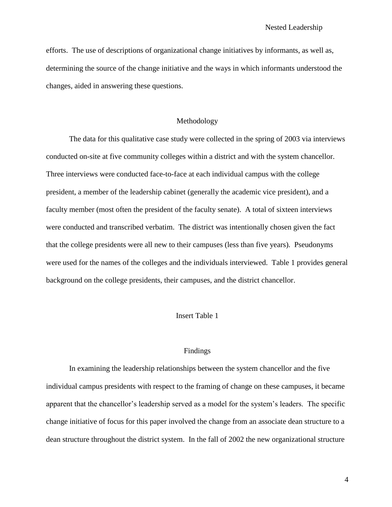efforts. The use of descriptions of organizational change initiatives by informants, as well as, determining the source of the change initiative and the ways in which informants understood the changes, aided in answering these questions.

## Methodology

The data for this qualitative case study were collected in the spring of 2003 via interviews conducted on-site at five community colleges within a district and with the system chancellor. Three interviews were conducted face-to-face at each individual campus with the college president, a member of the leadership cabinet (generally the academic vice president), and a faculty member (most often the president of the faculty senate). A total of sixteen interviews were conducted and transcribed verbatim. The district was intentionally chosen given the fact that the college presidents were all new to their campuses (less than five years). Pseudonyms were used for the names of the colleges and the individuals interviewed. Table 1 provides general background on the college presidents, their campuses, and the district chancellor.

## Insert Table 1

### Findings

In examining the leadership relationships between the system chancellor and the five individual campus presidents with respect to the framing of change on these campuses, it became apparent that the chancellor's leadership served as a model for the system's leaders. The specific change initiative of focus for this paper involved the change from an associate dean structure to a dean structure throughout the district system. In the fall of 2002 the new organizational structure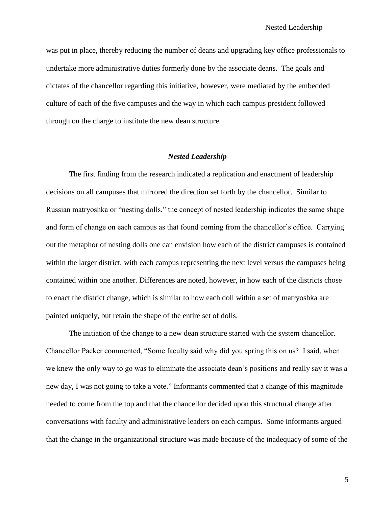was put in place, thereby reducing the number of deans and upgrading key office professionals to undertake more administrative duties formerly done by the associate deans. The goals and dictates of the chancellor regarding this initiative, however, were mediated by the embedded culture of each of the five campuses and the way in which each campus president followed through on the charge to institute the new dean structure.

# *Nested Leadership*

The first finding from the research indicated a replication and enactment of leadership decisions on all campuses that mirrored the direction set forth by the chancellor. Similar to Russian matryoshka or "nesting dolls," the concept of nested leadership indicates the same shape and form of change on each campus as that found coming from the chancellor's office. Carrying out the metaphor of nesting dolls one can envision how each of the district campuses is contained within the larger district, with each campus representing the next level versus the campuses being contained within one another. Differences are noted, however, in how each of the districts chose to enact the district change, which is similar to how each doll within a set of matryoshka are painted uniquely, but retain the shape of the entire set of dolls.

The initiation of the change to a new dean structure started with the system chancellor. Chancellor Packer commented, "Some faculty said why did you spring this on us? I said, when we knew the only way to go was to eliminate the associate dean's positions and really say it was a new day, I was not going to take a vote." Informants commented that a change of this magnitude needed to come from the top and that the chancellor decided upon this structural change after conversations with faculty and administrative leaders on each campus. Some informants argued that the change in the organizational structure was made because of the inadequacy of some of the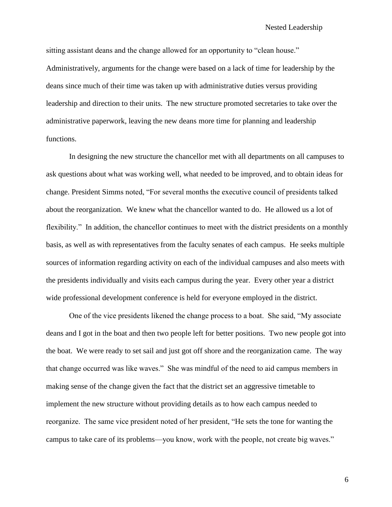sitting assistant deans and the change allowed for an opportunity to "clean house." Administratively, arguments for the change were based on a lack of time for leadership by the deans since much of their time was taken up with administrative duties versus providing leadership and direction to their units. The new structure promoted secretaries to take over the administrative paperwork, leaving the new deans more time for planning and leadership functions.

In designing the new structure the chancellor met with all departments on all campuses to ask questions about what was working well, what needed to be improved, and to obtain ideas for change. President Simms noted, "For several months the executive council of presidents talked about the reorganization. We knew what the chancellor wanted to do. He allowed us a lot of flexibility." In addition, the chancellor continues to meet with the district presidents on a monthly basis, as well as with representatives from the faculty senates of each campus. He seeks multiple sources of information regarding activity on each of the individual campuses and also meets with the presidents individually and visits each campus during the year. Every other year a district wide professional development conference is held for everyone employed in the district.

One of the vice presidents likened the change process to a boat. She said, "My associate deans and I got in the boat and then two people left for better positions. Two new people got into the boat. We were ready to set sail and just got off shore and the reorganization came. The way that change occurred was like waves." She was mindful of the need to aid campus members in making sense of the change given the fact that the district set an aggressive timetable to implement the new structure without providing details as to how each campus needed to reorganize. The same vice president noted of her president, "He sets the tone for wanting the campus to take care of its problems—you know, work with the people, not create big waves."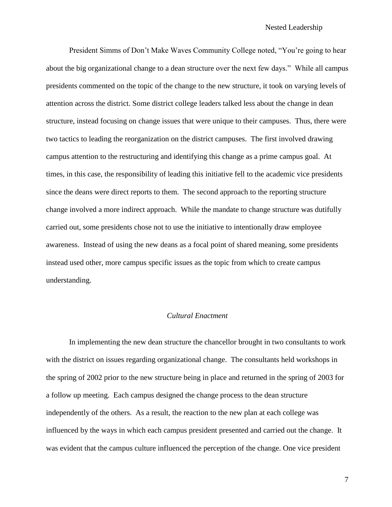President Simms of Don't Make Waves Community College noted, "You're going to hear about the big organizational change to a dean structure over the next few days." While all campus presidents commented on the topic of the change to the new structure, it took on varying levels of attention across the district. Some district college leaders talked less about the change in dean structure, instead focusing on change issues that were unique to their campuses. Thus, there were two tactics to leading the reorganization on the district campuses. The first involved drawing campus attention to the restructuring and identifying this change as a prime campus goal. At times, in this case, the responsibility of leading this initiative fell to the academic vice presidents since the deans were direct reports to them. The second approach to the reporting structure change involved a more indirect approach. While the mandate to change structure was dutifully carried out, some presidents chose not to use the initiative to intentionally draw employee awareness. Instead of using the new deans as a focal point of shared meaning, some presidents instead used other, more campus specific issues as the topic from which to create campus understanding.

## *Cultural Enactment*

In implementing the new dean structure the chancellor brought in two consultants to work with the district on issues regarding organizational change. The consultants held workshops in the spring of 2002 prior to the new structure being in place and returned in the spring of 2003 for a follow up meeting. Each campus designed the change process to the dean structure independently of the others. As a result, the reaction to the new plan at each college was influenced by the ways in which each campus president presented and carried out the change. It was evident that the campus culture influenced the perception of the change. One vice president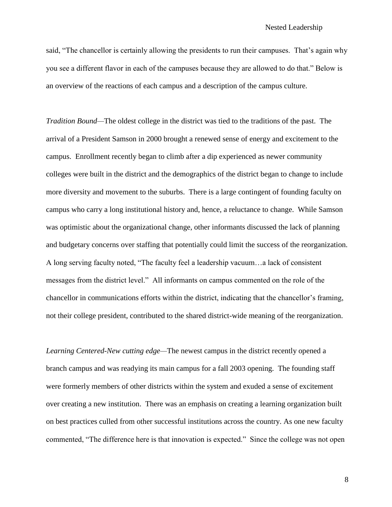said, "The chancellor is certainly allowing the presidents to run their campuses. That's again why you see a different flavor in each of the campuses because they are allowed to do that." Below is an overview of the reactions of each campus and a description of the campus culture.

*Tradition Bound—*The oldest college in the district was tied to the traditions of the past. The arrival of a President Samson in 2000 brought a renewed sense of energy and excitement to the campus. Enrollment recently began to climb after a dip experienced as newer community colleges were built in the district and the demographics of the district began to change to include more diversity and movement to the suburbs. There is a large contingent of founding faculty on campus who carry a long institutional history and, hence, a reluctance to change. While Samson was optimistic about the organizational change, other informants discussed the lack of planning and budgetary concerns over staffing that potentially could limit the success of the reorganization. A long serving faculty noted, "The faculty feel a leadership vacuum…a lack of consistent messages from the district level." All informants on campus commented on the role of the chancellor in communications efforts within the district, indicating that the chancellor's framing, not their college president, contributed to the shared district-wide meaning of the reorganization.

*Learning Centered-New cutting edge—*The newest campus in the district recently opened a branch campus and was readying its main campus for a fall 2003 opening. The founding staff were formerly members of other districts within the system and exuded a sense of excitement over creating a new institution. There was an emphasis on creating a learning organization built on best practices culled from other successful institutions across the country. As one new faculty commented, "The difference here is that innovation is expected." Since the college was not open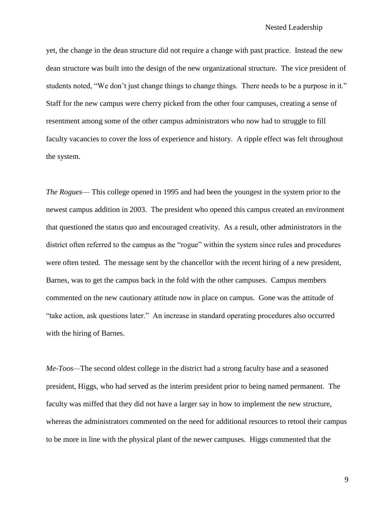yet, the change in the dean structure did not require a change with past practice. Instead the new dean structure was built into the design of the new organizational structure. The vice president of students noted, "We don't just change things to change things. There needs to be a purpose in it." Staff for the new campus were cherry picked from the other four campuses, creating a sense of resentment among some of the other campus administrators who now had to struggle to fill faculty vacancies to cover the loss of experience and history. A ripple effect was felt throughout the system.

*The Rogues*— This college opened in 1995 and had been the youngest in the system prior to the newest campus addition in 2003. The president who opened this campus created an environment that questioned the status quo and encouraged creativity. As a result, other administrators in the district often referred to the campus as the "rogue" within the system since rules and procedures were often tested. The message sent by the chancellor with the recent hiring of a new president, Barnes, was to get the campus back in the fold with the other campuses. Campus members commented on the new cautionary attitude now in place on campus. Gone was the attitude of "take action, ask questions later." An increase in standard operating procedures also occurred with the hiring of Barnes.

*Me-Toos—*The second oldest college in the district had a strong faculty base and a seasoned president, Higgs, who had served as the interim president prior to being named permanent. The faculty was miffed that they did not have a larger say in how to implement the new structure, whereas the administrators commented on the need for additional resources to retool their campus to be more in line with the physical plant of the newer campuses. Higgs commented that the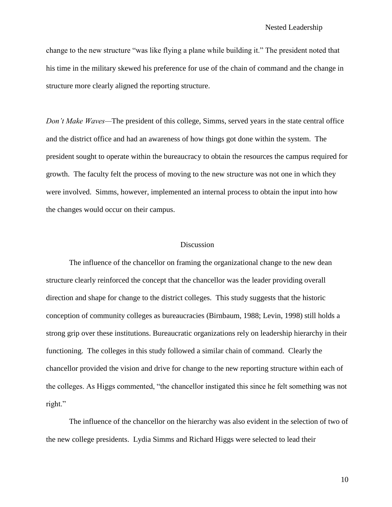change to the new structure "was like flying a plane while building it." The president noted that his time in the military skewed his preference for use of the chain of command and the change in structure more clearly aligned the reporting structure.

*Don't Make Waves—*The president of this college, Simms, served years in the state central office and the district office and had an awareness of how things got done within the system. The president sought to operate within the bureaucracy to obtain the resources the campus required for growth. The faculty felt the process of moving to the new structure was not one in which they were involved. Simms, however, implemented an internal process to obtain the input into how the changes would occur on their campus.

#### Discussion

The influence of the chancellor on framing the organizational change to the new dean structure clearly reinforced the concept that the chancellor was the leader providing overall direction and shape for change to the district colleges. This study suggests that the historic conception of community colleges as bureaucracies (Birnbaum, 1988; Levin, 1998) still holds a strong grip over these institutions. Bureaucratic organizations rely on leadership hierarchy in their functioning. The colleges in this study followed a similar chain of command. Clearly the chancellor provided the vision and drive for change to the new reporting structure within each of the colleges. As Higgs commented, "the chancellor instigated this since he felt something was not right."

The influence of the chancellor on the hierarchy was also evident in the selection of two of the new college presidents. Lydia Simms and Richard Higgs were selected to lead their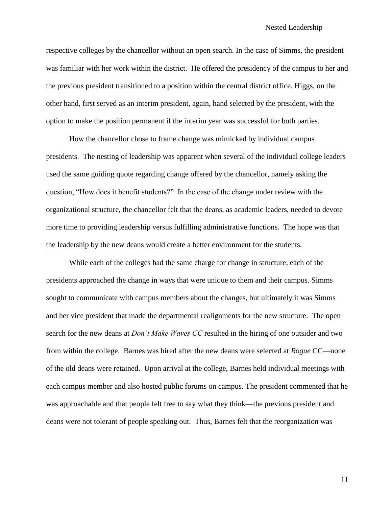#### Nested Leadership

respective colleges by the chancellor without an open search. In the case of Simms, the president was familiar with her work within the district. He offered the presidency of the campus to her and the previous president transitioned to a position within the central district office. Higgs, on the other hand, first served as an interim president, again, hand selected by the president, with the option to make the position permanent if the interim year was successful for both parties.

How the chancellor chose to frame change was mimicked by individual campus presidents. The nesting of leadership was apparent when several of the individual college leaders used the same guiding quote regarding change offered by the chancellor, namely asking the question, "How does it benefit students?" In the case of the change under review with the organizational structure, the chancellor felt that the deans, as academic leaders, needed to devote more time to providing leadership versus fulfilling administrative functions. The hope was that the leadership by the new deans would create a better environment for the students.

While each of the colleges had the same charge for change in structure, each of the presidents approached the change in ways that were unique to them and their campus. Simms sought to communicate with campus members about the changes, but ultimately it was Simms and her vice president that made the departmental realignments for the new structure. The open search for the new deans at *Don't Make Waves CC* resulted in the hiring of one outsider and two from within the college. Barnes was hired after the new deans were selected at *Rogue* CC—none of the old deans were retained. Upon arrival at the college, Barnes held individual meetings with each campus member and also hosted public forums on campus. The president commented that he was approachable and that people felt free to say what they think—the previous president and deans were not tolerant of people speaking out. Thus, Barnes felt that the reorganization was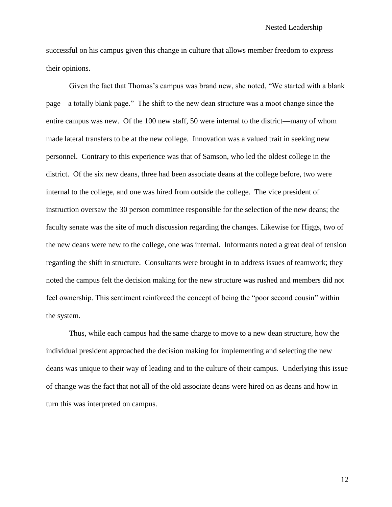successful on his campus given this change in culture that allows member freedom to express their opinions.

Given the fact that Thomas's campus was brand new, she noted, "We started with a blank page—a totally blank page." The shift to the new dean structure was a moot change since the entire campus was new. Of the 100 new staff, 50 were internal to the district—many of whom made lateral transfers to be at the new college. Innovation was a valued trait in seeking new personnel. Contrary to this experience was that of Samson, who led the oldest college in the district. Of the six new deans, three had been associate deans at the college before, two were internal to the college, and one was hired from outside the college. The vice president of instruction oversaw the 30 person committee responsible for the selection of the new deans; the faculty senate was the site of much discussion regarding the changes. Likewise for Higgs, two of the new deans were new to the college, one was internal. Informants noted a great deal of tension regarding the shift in structure. Consultants were brought in to address issues of teamwork; they noted the campus felt the decision making for the new structure was rushed and members did not feel ownership. This sentiment reinforced the concept of being the "poor second cousin" within the system.

Thus, while each campus had the same charge to move to a new dean structure, how the individual president approached the decision making for implementing and selecting the new deans was unique to their way of leading and to the culture of their campus. Underlying this issue of change was the fact that not all of the old associate deans were hired on as deans and how in turn this was interpreted on campus.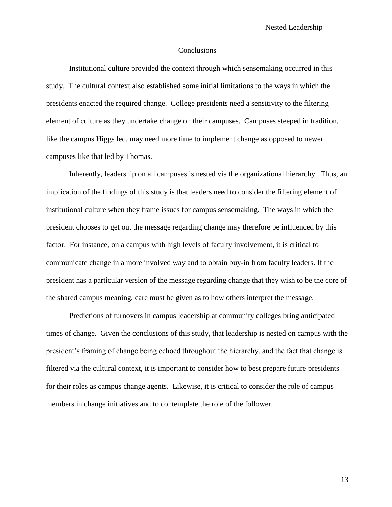## **Conclusions**

Institutional culture provided the context through which sensemaking occurred in this study. The cultural context also established some initial limitations to the ways in which the presidents enacted the required change. College presidents need a sensitivity to the filtering element of culture as they undertake change on their campuses. Campuses steeped in tradition, like the campus Higgs led, may need more time to implement change as opposed to newer campuses like that led by Thomas.

Inherently, leadership on all campuses is nested via the organizational hierarchy. Thus, an implication of the findings of this study is that leaders need to consider the filtering element of institutional culture when they frame issues for campus sensemaking. The ways in which the president chooses to get out the message regarding change may therefore be influenced by this factor. For instance, on a campus with high levels of faculty involvement, it is critical to communicate change in a more involved way and to obtain buy-in from faculty leaders. If the president has a particular version of the message regarding change that they wish to be the core of the shared campus meaning, care must be given as to how others interpret the message.

Predictions of turnovers in campus leadership at community colleges bring anticipated times of change. Given the conclusions of this study, that leadership is nested on campus with the president's framing of change being echoed throughout the hierarchy, and the fact that change is filtered via the cultural context, it is important to consider how to best prepare future presidents for their roles as campus change agents. Likewise, it is critical to consider the role of campus members in change initiatives and to contemplate the role of the follower.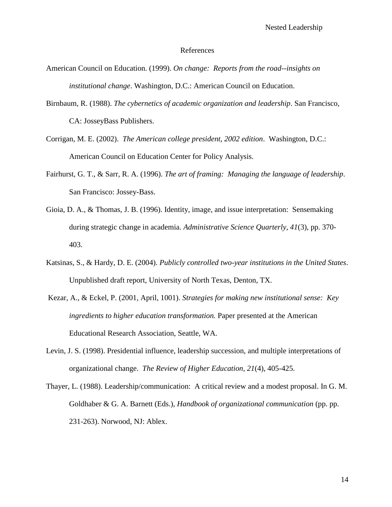#### References

- American Council on Education. (1999). *On change: Reports from the road--insights on institutional change*. Washington, D.C.: American Council on Education.
- Birnbaum, R. (1988). *The cybernetics of academic organization and leadership*. San Francisco, CA: JosseyBass Publishers.
- Corrigan, M. E. (2002). *The American college president, 2002 edition*. Washington, D.C.: American Council on Education Center for Policy Analysis.
- Fairhurst, G. T., & Sarr, R. A. (1996). *The art of framing: Managing the language of leadership*. San Francisco: Jossey-Bass.
- Gioia, D. A., & Thomas, J. B. (1996). Identity, image, and issue interpretation: Sensemaking during strategic change in academia. *Administrative Science Quarterly, 41*(3), pp. 370- 403.
- Katsinas, S., & Hardy, D. E. (2004). *Publicly controlled two-year institutions in the United States*. Unpublished draft report, University of North Texas, Denton, TX.
- Kezar, A., & Eckel, P. (2001, April, 1001). *Strategies for making new institutional sense: Key ingredients to higher education transformation.* Paper presented at the American Educational Research Association, Seattle, WA.
- Levin, J. S. (1998). Presidential influence, leadership succession, and multiple interpretations of organizational change. *The Review of Higher Education, 21*(4), 405-425.
- Thayer, L. (1988). Leadership/communication: A critical review and a modest proposal. In G. M. Goldhaber & G. A. Barnett (Eds.), *Handbook of organizational communication* (pp. pp. 231-263). Norwood, NJ: Ablex.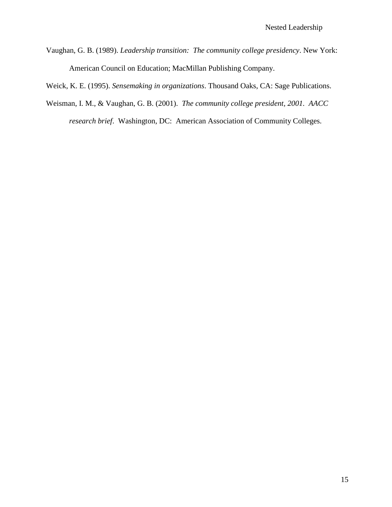Vaughan, G. B. (1989). *Leadership transition: The community college presidency*. New York: American Council on Education; MacMillan Publishing Company.

Weick, K. E. (1995). *Sensemaking in organizations*. Thousand Oaks, CA: Sage Publications.

Weisman, I. M., & Vaughan, G. B. (2001). *The community college president, 2001. AACC research brief*. Washington, DC: American Association of Community Colleges.